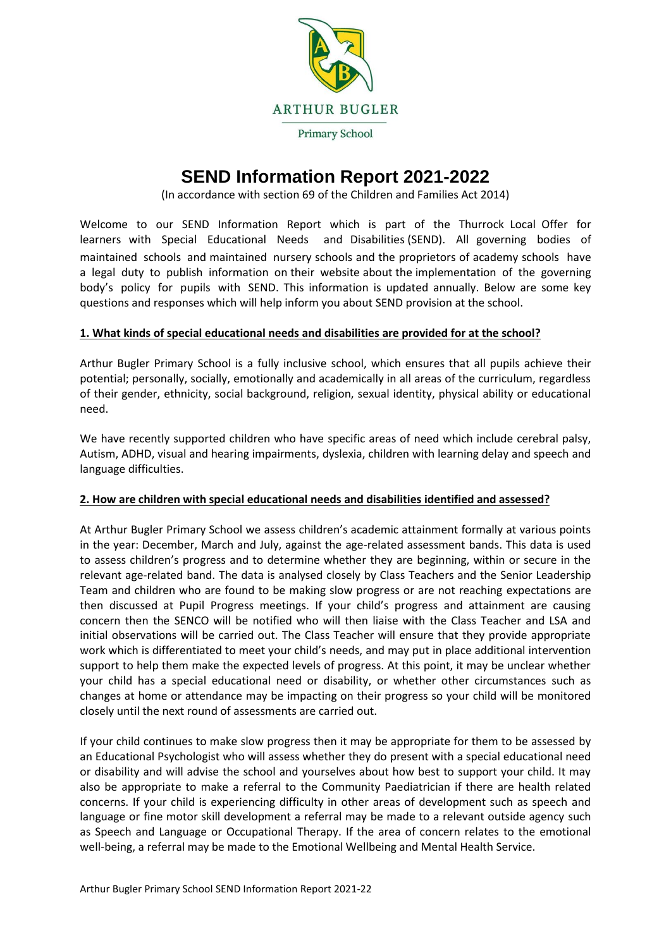

# **SEND Information Report 2021-2022**

(In accordance with section 69 of the Children and Families Act 2014)

Welcome to our SEND Information Report which is part of the Thurrock Local Offer for learners with Special Educational Needs and Disabilities (SEND). All governing bodies of maintained schools and maintained nursery schools and the proprietors of academy schools have a legal duty to publish information on their website about the implementation of the governing body's policy for pupils with SEND. This information is updated annually. Below are some key questions and responses which will help inform you about SEND provision at the school.

## **1. What kinds of special educational needs and disabilities are provided for at the school?**

Arthur Bugler Primary School is a fully inclusive school, which ensures that all pupils achieve their potential; personally, socially, emotionally and academically in all areas of the curriculum, regardless of their gender, ethnicity, social background, religion, sexual identity, physical ability or educational need.

We have recently supported children who have specific areas of need which include cerebral palsy, Autism, ADHD, visual and hearing impairments, dyslexia, children with learning delay and speech and language difficulties.

#### **2. How are children with special educational needs and disabilities identified and assessed?**

At Arthur Bugler Primary School we assess children's academic attainment formally at various points in the year: December, March and July, against the age-related assessment bands. This data is used to assess children's progress and to determine whether they are beginning, within or secure in the relevant age-related band. The data is analysed closely by Class Teachers and the Senior Leadership Team and children who are found to be making slow progress or are not reaching expectations are then discussed at Pupil Progress meetings. If your child's progress and attainment are causing concern then the SENCO will be notified who will then liaise with the Class Teacher and LSA and initial observations will be carried out. The Class Teacher will ensure that they provide appropriate work which is differentiated to meet your child's needs, and may put in place additional intervention support to help them make the expected levels of progress. At this point, it may be unclear whether your child has a special educational need or disability, or whether other circumstances such as changes at home or attendance may be impacting on their progress so your child will be monitored closely until the next round of assessments are carried out.

If your child continues to make slow progress then it may be appropriate for them to be assessed by an Educational Psychologist who will assess whether they do present with a special educational need or disability and will advise the school and yourselves about how best to support your child. It may also be appropriate to make a referral to the Community Paediatrician if there are health related concerns. If your child is experiencing difficulty in other areas of development such as speech and language or fine motor skill development a referral may be made to a relevant outside agency such as Speech and Language or Occupational Therapy. If the area of concern relates to the emotional well-being, a referral may be made to the Emotional Wellbeing and Mental Health Service.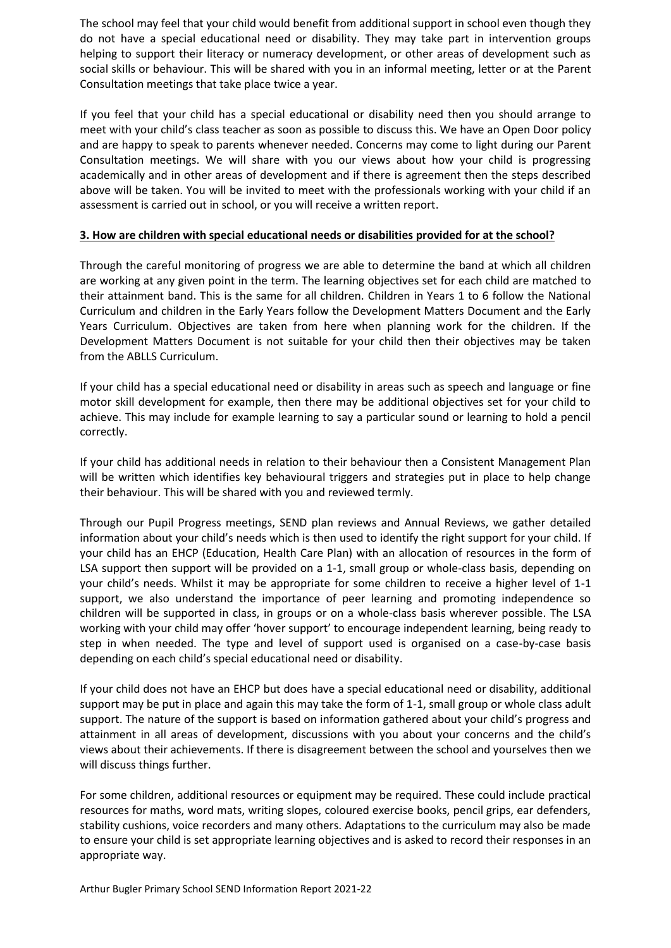The school may feel that your child would benefit from additional support in school even though they do not have a special educational need or disability. They may take part in intervention groups helping to support their literacy or numeracy development, or other areas of development such as social skills or behaviour. This will be shared with you in an informal meeting, letter or at the Parent Consultation meetings that take place twice a year.

If you feel that your child has a special educational or disability need then you should arrange to meet with your child's class teacher as soon as possible to discuss this. We have an Open Door policy and are happy to speak to parents whenever needed. Concerns may come to light during our Parent Consultation meetings. We will share with you our views about how your child is progressing academically and in other areas of development and if there is agreement then the steps described above will be taken. You will be invited to meet with the professionals working with your child if an assessment is carried out in school, or you will receive a written report.

### **3. How are children with special educational needs or disabilities provided for at the school?**

Through the careful monitoring of progress we are able to determine the band at which all children are working at any given point in the term. The learning objectives set for each child are matched to their attainment band. This is the same for all children. Children in Years 1 to 6 follow the National Curriculum and children in the Early Years follow the Development Matters Document and the Early Years Curriculum. Objectives are taken from here when planning work for the children. If the Development Matters Document is not suitable for your child then their objectives may be taken from the ABLLS Curriculum.

If your child has a special educational need or disability in areas such as speech and language or fine motor skill development for example, then there may be additional objectives set for your child to achieve. This may include for example learning to say a particular sound or learning to hold a pencil correctly.

If your child has additional needs in relation to their behaviour then a Consistent Management Plan will be written which identifies key behavioural triggers and strategies put in place to help change their behaviour. This will be shared with you and reviewed termly.

Through our Pupil Progress meetings, SEND plan reviews and Annual Reviews, we gather detailed information about your child's needs which is then used to identify the right support for your child. If your child has an EHCP (Education, Health Care Plan) with an allocation of resources in the form of LSA support then support will be provided on a 1-1, small group or whole-class basis, depending on your child's needs. Whilst it may be appropriate for some children to receive a higher level of 1-1 support, we also understand the importance of peer learning and promoting independence so children will be supported in class, in groups or on a whole-class basis wherever possible. The LSA working with your child may offer 'hover support' to encourage independent learning, being ready to step in when needed. The type and level of support used is organised on a case-by-case basis depending on each child's special educational need or disability.

If your child does not have an EHCP but does have a special educational need or disability, additional support may be put in place and again this may take the form of 1-1, small group or whole class adult support. The nature of the support is based on information gathered about your child's progress and attainment in all areas of development, discussions with you about your concerns and the child's views about their achievements. If there is disagreement between the school and yourselves then we will discuss things further.

For some children, additional resources or equipment may be required. These could include practical resources for maths, word mats, writing slopes, coloured exercise books, pencil grips, ear defenders, stability cushions, voice recorders and many others. Adaptations to the curriculum may also be made to ensure your child is set appropriate learning objectives and is asked to record their responses in an appropriate way.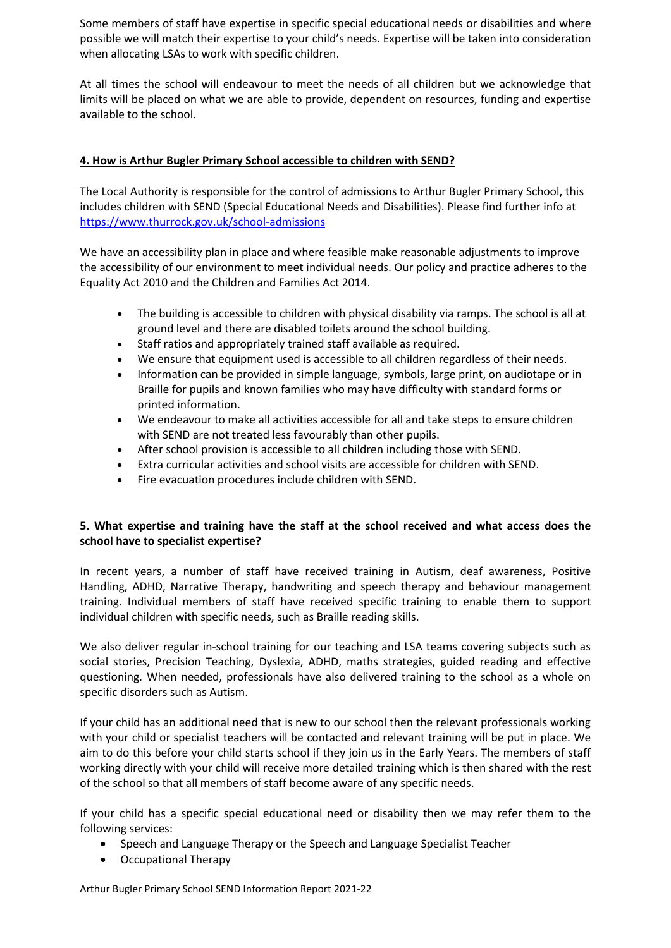Some members of staff have expertise in specific special educational needs or disabilities and where possible we will match their expertise to your child's needs. Expertise will be taken into consideration when allocating LSAs to work with specific children.

At all times the school will endeavour to meet the needs of all children but we acknowledge that limits will be placed on what we are able to provide, dependent on resources, funding and expertise available to the school.

# **4. How is Arthur Bugler Primary School accessible to children with SEND?**

The Local Authority is responsible for the control of admissions to Arthur Bugler Primary School, this includes children with SEND (Special Educational Needs and Disabilities). Please find further info at <https://www.thurrock.gov.uk/school-admissions>

We have an accessibility plan in place and where feasible make reasonable adjustments to improve the accessibility of our environment to meet individual needs. Our policy and practice adheres to the Equality Act 2010 and the Children and Families Act 2014.

- The building is accessible to children with physical disability via ramps. The school is all at ground level and there are disabled toilets around the school building.
- Staff ratios and appropriately trained staff available as required.
- We ensure that equipment used is accessible to all children regardless of their needs.
- Information can be provided in simple language, symbols, large print, on audiotape or in Braille for pupils and known families who may have difficulty with standard forms or printed information.
- We endeavour to make all activities accessible for all and take steps to ensure children with SEND are not treated less favourably than other pupils.
- After school provision is accessible to all children including those with SEND.
- Extra curricular activities and school visits are accessible for children with SEND.
- Fire evacuation procedures include children with SEND.

# **5. What expertise and training have the staff at the school received and what access does the school have to specialist expertise?**

In recent years, a number of staff have received training in Autism, deaf awareness, Positive Handling, ADHD, Narrative Therapy, handwriting and speech therapy and behaviour management training. Individual members of staff have received specific training to enable them to support individual children with specific needs, such as Braille reading skills.

We also deliver regular in-school training for our teaching and LSA teams covering subjects such as social stories, Precision Teaching, Dyslexia, ADHD, maths strategies, guided reading and effective questioning. When needed, professionals have also delivered training to the school as a whole on specific disorders such as Autism.

If your child has an additional need that is new to our school then the relevant professionals working with your child or specialist teachers will be contacted and relevant training will be put in place. We aim to do this before your child starts school if they join us in the Early Years. The members of staff working directly with your child will receive more detailed training which is then shared with the rest of the school so that all members of staff become aware of any specific needs.

If your child has a specific special educational need or disability then we may refer them to the following services:

- Speech and Language Therapy or the Speech and Language Specialist Teacher
- Occupational Therapy

Arthur Bugler Primary School SEND Information Report 2021-22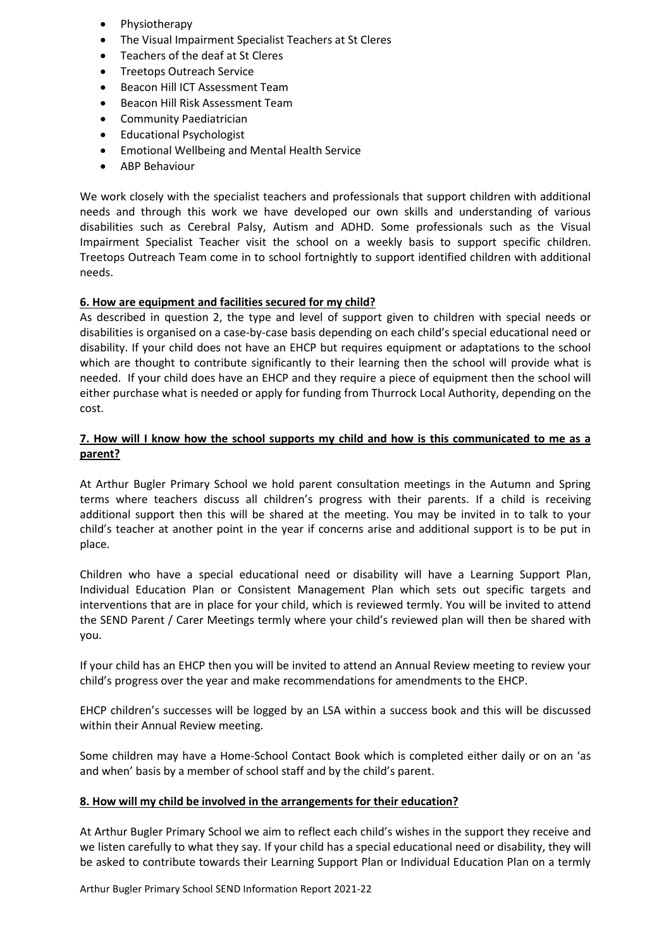- Physiotherapy
- The Visual Impairment Specialist Teachers at St Cleres
- Teachers of the deaf at St Cleres
- Treetops Outreach Service
- Beacon Hill ICT Assessment Team
- Beacon Hill Risk Assessment Team
- Community Paediatrician
- Educational Psychologist
- Emotional Wellbeing and Mental Health Service
- ABP Behaviour

We work closely with the specialist teachers and professionals that support children with additional needs and through this work we have developed our own skills and understanding of various disabilities such as Cerebral Palsy, Autism and ADHD. Some professionals such as the Visual Impairment Specialist Teacher visit the school on a weekly basis to support specific children. Treetops Outreach Team come in to school fortnightly to support identified children with additional needs.

# **6. How are equipment and facilities secured for my child?**

As described in question 2, the type and level of support given to children with special needs or disabilities is organised on a case-by-case basis depending on each child's special educational need or disability. If your child does not have an EHCP but requires equipment or adaptations to the school which are thought to contribute significantly to their learning then the school will provide what is needed. If your child does have an EHCP and they require a piece of equipment then the school will either purchase what is needed or apply for funding from Thurrock Local Authority, depending on the cost.

## **7. How will I know how the school supports my child and how is this communicated to me as a parent?**

At Arthur Bugler Primary School we hold parent consultation meetings in the Autumn and Spring terms where teachers discuss all children's progress with their parents. If a child is receiving additional support then this will be shared at the meeting. You may be invited in to talk to your child's teacher at another point in the year if concerns arise and additional support is to be put in place.

Children who have a special educational need or disability will have a Learning Support Plan, Individual Education Plan or Consistent Management Plan which sets out specific targets and interventions that are in place for your child, which is reviewed termly. You will be invited to attend the SEND Parent / Carer Meetings termly where your child's reviewed plan will then be shared with you.

If your child has an EHCP then you will be invited to attend an Annual Review meeting to review your child's progress over the year and make recommendations for amendments to the EHCP.

EHCP children's successes will be logged by an LSA within a success book and this will be discussed within their Annual Review meeting.

Some children may have a Home-School Contact Book which is completed either daily or on an 'as and when' basis by a member of school staff and by the child's parent.

#### **8. How will my child be involved in the arrangements for their education?**

At Arthur Bugler Primary School we aim to reflect each child's wishes in the support they receive and we listen carefully to what they say. If your child has a special educational need or disability, they will be asked to contribute towards their Learning Support Plan or Individual Education Plan on a termly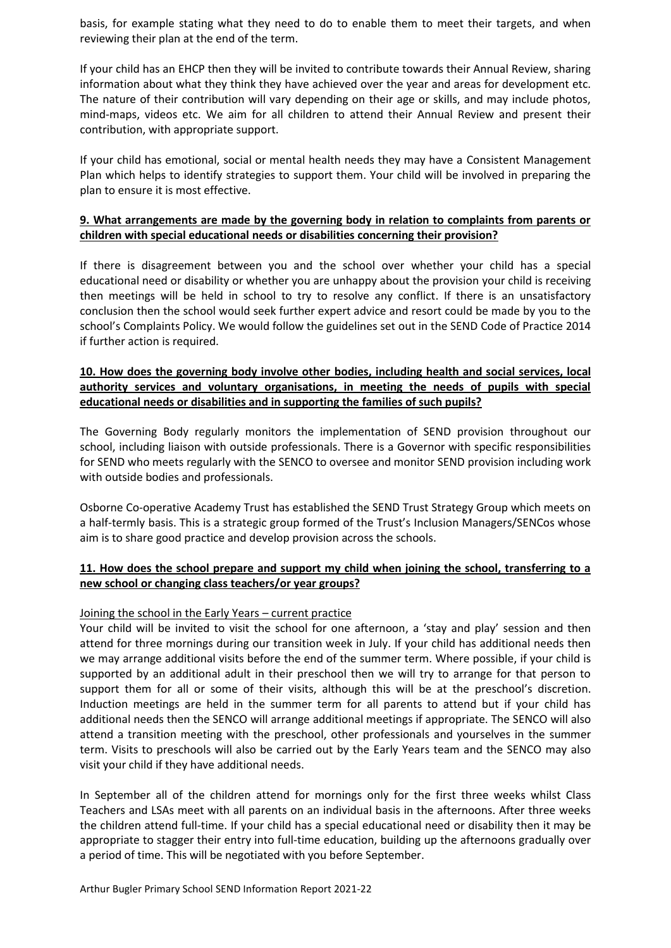basis, for example stating what they need to do to enable them to meet their targets, and when reviewing their plan at the end of the term.

If your child has an EHCP then they will be invited to contribute towards their Annual Review, sharing information about what they think they have achieved over the year and areas for development etc. The nature of their contribution will vary depending on their age or skills, and may include photos, mind-maps, videos etc. We aim for all children to attend their Annual Review and present their contribution, with appropriate support.

If your child has emotional, social or mental health needs they may have a Consistent Management Plan which helps to identify strategies to support them. Your child will be involved in preparing the plan to ensure it is most effective.

## **9. What arrangements are made by the governing body in relation to complaints from parents or children with special educational needs or disabilities concerning their provision?**

If there is disagreement between you and the school over whether your child has a special educational need or disability or whether you are unhappy about the provision your child is receiving then meetings will be held in school to try to resolve any conflict. If there is an unsatisfactory conclusion then the school would seek further expert advice and resort could be made by you to the school's Complaints Policy. We would follow the guidelines set out in the SEND Code of Practice 2014 if further action is required.

# **10. How does the governing body involve other bodies, including health and social services, local authority services and voluntary organisations, in meeting the needs of pupils with special educational needs or disabilities and in supporting the families of such pupils?**

The Governing Body regularly monitors the implementation of SEND provision throughout our school, including liaison with outside professionals. There is a Governor with specific responsibilities for SEND who meets regularly with the SENCO to oversee and monitor SEND provision including work with outside bodies and professionals.

Osborne Co-operative Academy Trust has established the SEND Trust Strategy Group which meets on a half-termly basis. This is a strategic group formed of the Trust's Inclusion Managers/SENCos whose aim is to share good practice and develop provision across the schools.

# **11. How does the school prepare and support my child when joining the school, transferring to a new school or changing class teachers/or year groups?**

# Joining the school in the Early Years – current practice

Your child will be invited to visit the school for one afternoon, a 'stay and play' session and then attend for three mornings during our transition week in July. If your child has additional needs then we may arrange additional visits before the end of the summer term. Where possible, if your child is supported by an additional adult in their preschool then we will try to arrange for that person to support them for all or some of their visits, although this will be at the preschool's discretion. Induction meetings are held in the summer term for all parents to attend but if your child has additional needs then the SENCO will arrange additional meetings if appropriate. The SENCO will also attend a transition meeting with the preschool, other professionals and yourselves in the summer term. Visits to preschools will also be carried out by the Early Years team and the SENCO may also visit your child if they have additional needs.

In September all of the children attend for mornings only for the first three weeks whilst Class Teachers and LSAs meet with all parents on an individual basis in the afternoons. After three weeks the children attend full-time. If your child has a special educational need or disability then it may be appropriate to stagger their entry into full-time education, building up the afternoons gradually over a period of time. This will be negotiated with you before September.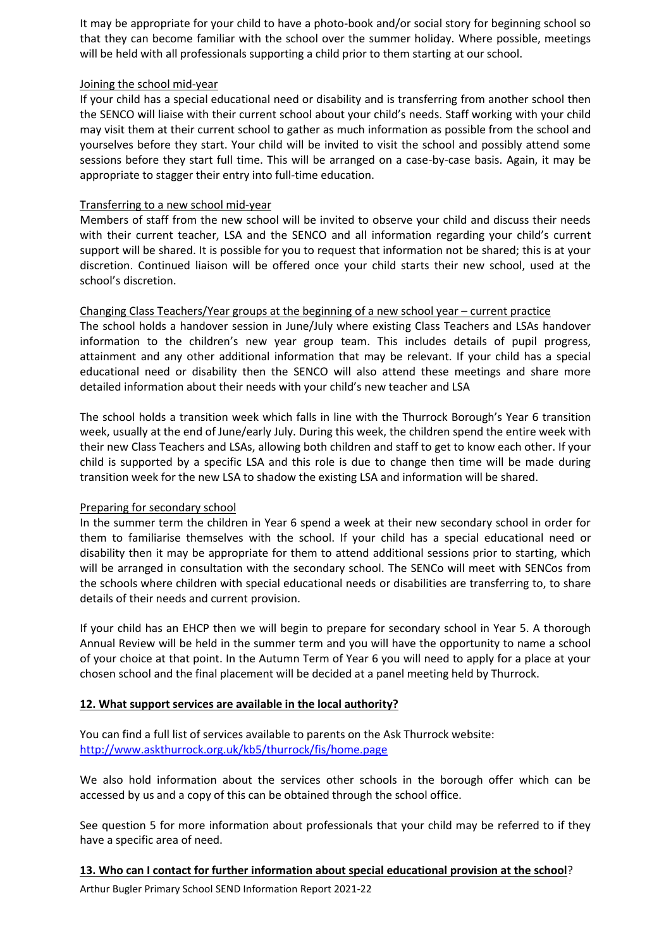It may be appropriate for your child to have a photo-book and/or social story for beginning school so that they can become familiar with the school over the summer holiday. Where possible, meetings will be held with all professionals supporting a child prior to them starting at our school.

### Joining the school mid-year

If your child has a special educational need or disability and is transferring from another school then the SENCO will liaise with their current school about your child's needs. Staff working with your child may visit them at their current school to gather as much information as possible from the school and yourselves before they start. Your child will be invited to visit the school and possibly attend some sessions before they start full time. This will be arranged on a case-by-case basis. Again, it may be appropriate to stagger their entry into full-time education.

## Transferring to a new school mid-year

Members of staff from the new school will be invited to observe your child and discuss their needs with their current teacher, LSA and the SENCO and all information regarding your child's current support will be shared. It is possible for you to request that information not be shared; this is at your discretion. Continued liaison will be offered once your child starts their new school, used at the school's discretion.

# Changing Class Teachers/Year groups at the beginning of a new school year – current practice

The school holds a handover session in June/July where existing Class Teachers and LSAs handover information to the children's new year group team. This includes details of pupil progress, attainment and any other additional information that may be relevant. If your child has a special educational need or disability then the SENCO will also attend these meetings and share more detailed information about their needs with your child's new teacher and LSA

The school holds a transition week which falls in line with the Thurrock Borough's Year 6 transition week, usually at the end of June/early July. During this week, the children spend the entire week with their new Class Teachers and LSAs, allowing both children and staff to get to know each other. If your child is supported by a specific LSA and this role is due to change then time will be made during transition week for the new LSA to shadow the existing LSA and information will be shared.

#### Preparing for secondary school

In the summer term the children in Year 6 spend a week at their new secondary school in order for them to familiarise themselves with the school. If your child has a special educational need or disability then it may be appropriate for them to attend additional sessions prior to starting, which will be arranged in consultation with the secondary school. The SENCo will meet with SENCos from the schools where children with special educational needs or disabilities are transferring to, to share details of their needs and current provision.

If your child has an EHCP then we will begin to prepare for secondary school in Year 5. A thorough Annual Review will be held in the summer term and you will have the opportunity to name a school of your choice at that point. In the Autumn Term of Year 6 you will need to apply for a place at your chosen school and the final placement will be decided at a panel meeting held by Thurrock.

# **12. What support services are available in the local authority?**

You can find a full list of services available to parents on the Ask Thurrock website: <http://www.askthurrock.org.uk/kb5/thurrock/fis/home.page>

We also hold information about the services other schools in the borough offer which can be accessed by us and a copy of this can be obtained through the school office.

See question 5 for more information about professionals that your child may be referred to if they have a specific area of need.

**13. Who can I contact for further information about special educational provision at the school**?

Arthur Bugler Primary School SEND Information Report 2021-22